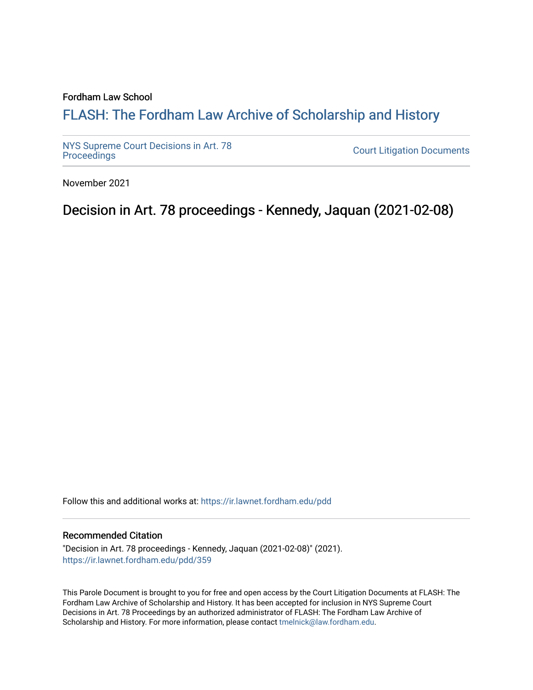### Fordham Law School

## FLASH: The For[dham Law Archive of Scholarship and Hist](https://ir.lawnet.fordham.edu/)ory

[NYS Supreme Court Decisions in Art. 78](https://ir.lawnet.fordham.edu/pdd)

**Court Litigation Documents** 

November 2021

Decision in Art. 78 proceedings - Kennedy, Jaquan (2021-02-08)

Follow this and additional works at: [https://ir.lawnet.fordham.edu/pdd](https://ir.lawnet.fordham.edu/pdd?utm_source=ir.lawnet.fordham.edu%2Fpdd%2F359&utm_medium=PDF&utm_campaign=PDFCoverPages)

### Recommended Citation

"Decision in Art. 78 proceedings - Kennedy, Jaquan (2021-02-08)" (2021). [https://ir.lawnet.fordham.edu/pdd/359](https://ir.lawnet.fordham.edu/pdd/359?utm_source=ir.lawnet.fordham.edu%2Fpdd%2F359&utm_medium=PDF&utm_campaign=PDFCoverPages)

This Parole Document is brought to you for free and open access by the Court Litigation Documents at FLASH: The Fordham Law Archive of Scholarship and History. It has been accepted for inclusion in NYS Supreme Court Decisions in Art. 78 Proceedings by an authorized administrator of FLASH: The Fordham Law Archive of Scholarship and History. For more information, please contact [tmelnick@law.fordham.edu](mailto:tmelnick@law.fordham.edu).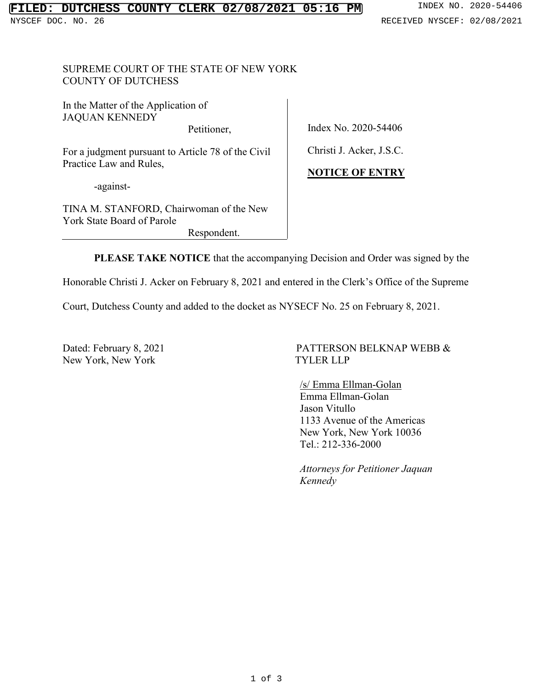## SUPREME COURT OF THE STATE OF NEW YORK COUNTY OF DUTCHESS

In the Matter of the Application of JAQUAN KENNEDY

Petitioner,

For a judgment pursuant to Article 78 of the Civil Practice Law and Rules,

-against-

TINA M. STANFORD, Chairwoman of the New York State Board of Parole Respondent.

Index No. 2020-54406

Christi J. Acker, J.S.C.

## **NOTICE OF ENTRY**

**PLEASE TAKE NOTICE** that the accompanying Decision and Order was signed by the

Honorable Christi J. Acker on February 8, 2021 and entered in the Clerk's Office of the Supreme

Court, Dutchess County and added to the docket as NYSECF No. 25 on February 8, 2021.

New York, New York TYLER LLP

# Dated: February 8, 2021 PATTERSON BELKNAP WEBB &

 /s/ Emma Ellman-Golan Emma Ellman-Golan Jason Vitullo 1133 Avenue of the Americas New York, New York 10036 Tel.: 212-336-2000

*Attorneys for Petitioner Jaquan Kennedy*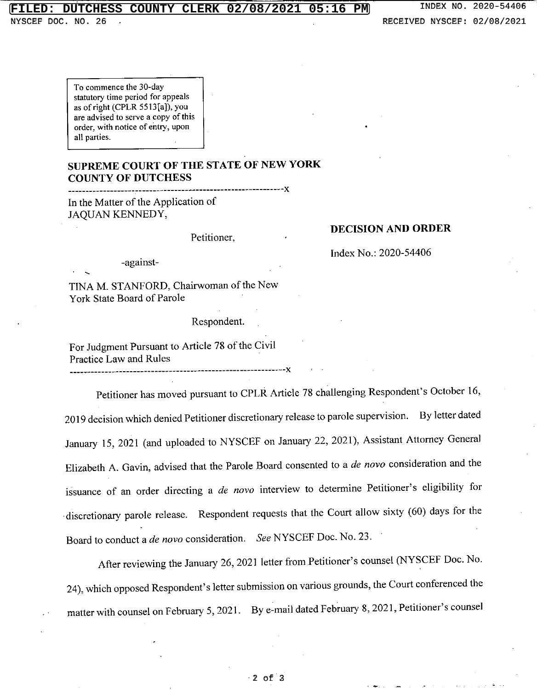### **FILED: DUTCHESS COUNTY CLERK 02/08/2021 05:16 PM**

NYSCEF DOC. NO. 26

To commence the 30-day statutory time period for appeals as of right (CPLR 5513[a]), you **are advised to serve a copy of this order, with notice of entry, upon** all parties.

## **SUPREME COURT OF THE STATE OF NEW YORK COUNTY OF DUTCHESS**

-------------------c-----------------------------------------){ In the Matter of the Application of JAQUAN KENNEDY,

Petitioner,

### **DECISION AND ORDER**

Inde){ No.: 2020-54406

-against-

TINA M. STANFORD, Chairwoman of the New York State Board of Parole

Respondent.

For Judgment Pursuant to Article 78 of the Civil Practice Law and Rules

-------------------------------------------------------------){

Petitioner has moved pursuant to CPLR Article 78 challenging Respondent's October 16, 2019 decision which denied Petitioner discretionary release to parole supervision. By letter dated January 15,2021 (and uploaded to NYSCEF on January 22, 2021), Assistant Attorney General Elizabeth A. Gavin, advised that the Parole Board consented to a *de novo* consideration and the issuance of an order directing a *de novo* interview to determine Petitioner's eligibility for discretionary parole release. Respondent requests that the Court allow sixty (60) days for the Board to conduct a *de novo* consideration. *See* NYSCEF Doc. No. 23.

After reviewing the January 26, 2021 letter from. Petitioner's counsel (NYSCEF Doc. No. 24), which opposed Respondent's letter submission on various grounds, the Court conferenced the matter with counsel on February 5, 2021. By e-mail dated February 8, 2021, Petitioner's counsel